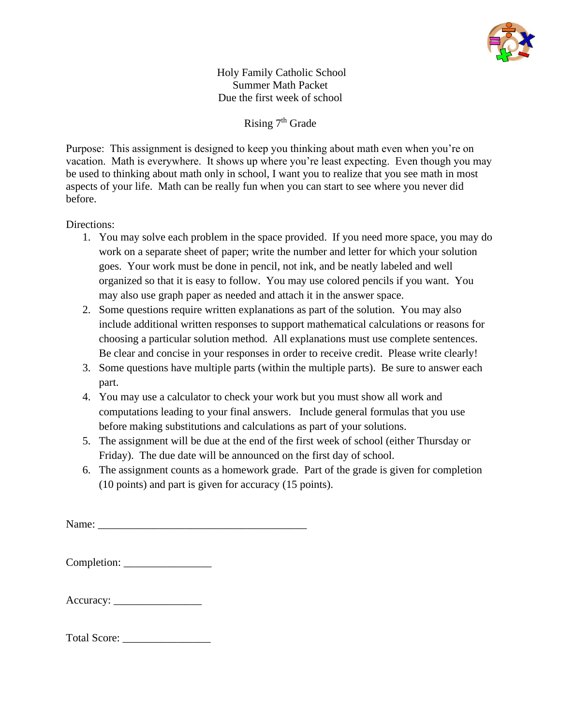

Holy Family Catholic School Summer Math Packet Due the first week of school

Rising  $7<sup>th</sup>$  Grade

Purpose: This assignment is designed to keep you thinking about math even when you're on vacation. Math is everywhere. It shows up where you're least expecting. Even though you may be used to thinking about math only in school, I want you to realize that you see math in most aspects of your life. Math can be really fun when you can start to see where you never did before.

## Directions:

- 1. You may solve each problem in the space provided. If you need more space, you may do work on a separate sheet of paper; write the number and letter for which your solution goes. Your work must be done in pencil, not ink, and be neatly labeled and well organized so that it is easy to follow. You may use colored pencils if you want. You may also use graph paper as needed and attach it in the answer space.
- 2. Some questions require written explanations as part of the solution. You may also include additional written responses to support mathematical calculations or reasons for choosing a particular solution method. All explanations must use complete sentences. Be clear and concise in your responses in order to receive credit. Please write clearly!
- 3. Some questions have multiple parts (within the multiple parts). Be sure to answer each part.
- 4. You may use a calculator to check your work but you must show all work and computations leading to your final answers. Include general formulas that you use before making substitutions and calculations as part of your solutions.
- 5. The assignment will be due at the end of the first week of school (either Thursday or Friday). The due date will be announced on the first day of school.
- 6. The assignment counts as a homework grade. Part of the grade is given for completion (10 points) and part is given for accuracy (15 points).

Name:

Completion: \_\_\_\_\_\_\_\_\_\_\_\_\_\_\_\_

| Accuracy: |  |
|-----------|--|
|-----------|--|

| <b>Total Score:</b> |  |
|---------------------|--|
|---------------------|--|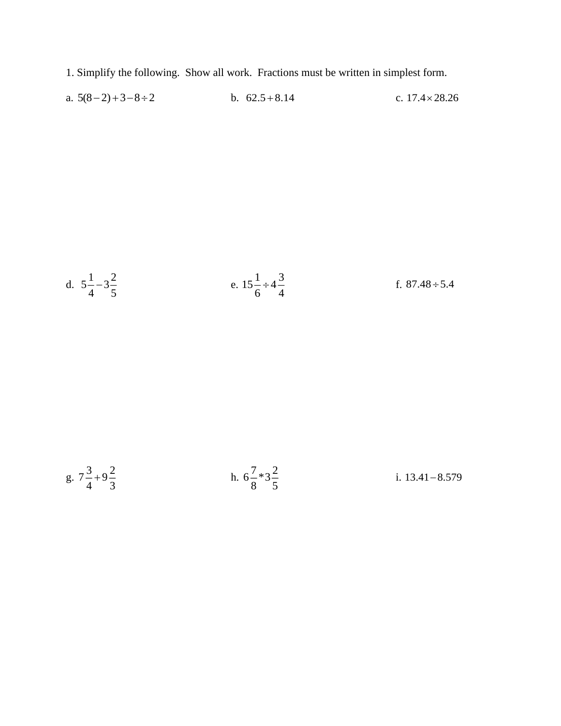- 1. Simplify the following. Show all work. Fractions must be written in simplest form.
- a.  $5(8-2)+3-8 \div 2$ b.  $62.5 + 8.14$ c.  $17.4 \times 28.26$

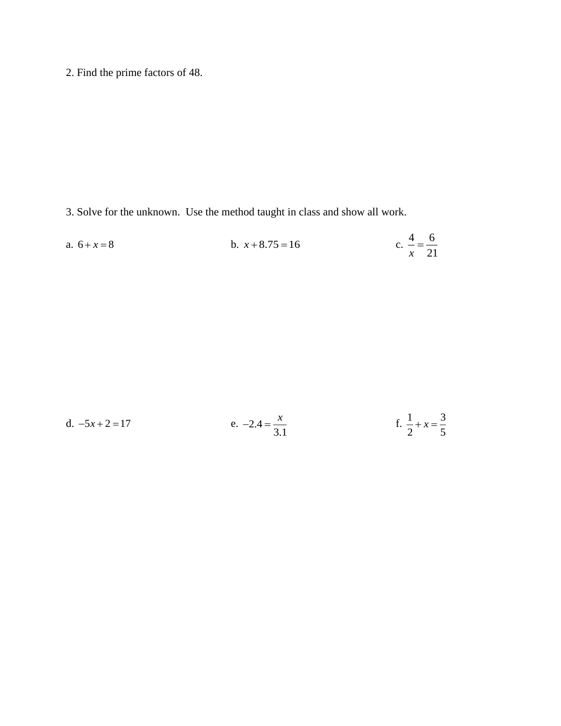2. Find the prime factors of 48.

3. Solve for the unknown. Use the method taught in class and show all work.

a. 
$$
6 + x = 8
$$
  
b.  $x + 8.75 = 16$   
c.  $\frac{4}{x} = \frac{6}{21}$ 

| d. $-5x + 2 = 17$ | e. $-2.4 = \frac{x}{x}$ | f. $\frac{1}{2} + x = \frac{3}{5}$ |
|-------------------|-------------------------|------------------------------------|
|                   |                         |                                    |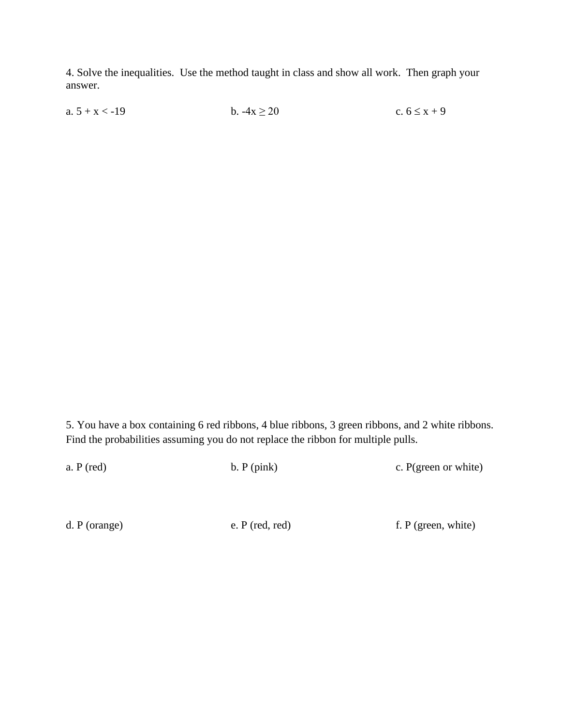4. Solve the inequalities. Use the method taught in class and show all work. Then graph your answer.

a.  $5 + x < -19$  b.  $-4x \ge 20$  c.  $6 \le x + 9$ 

5. You have a box containing 6 red ribbons, 4 blue ribbons, 3 green ribbons, and 2 white ribbons. Find the probabilities assuming you do not replace the ribbon for multiple pulls.

| a. P (red)    | b. P (pink)     | c. P(green or white)  |
|---------------|-----------------|-----------------------|
|               |                 |                       |
|               |                 |                       |
| d. P (orange) | e. P (red, red) | f. $P$ (green, white) |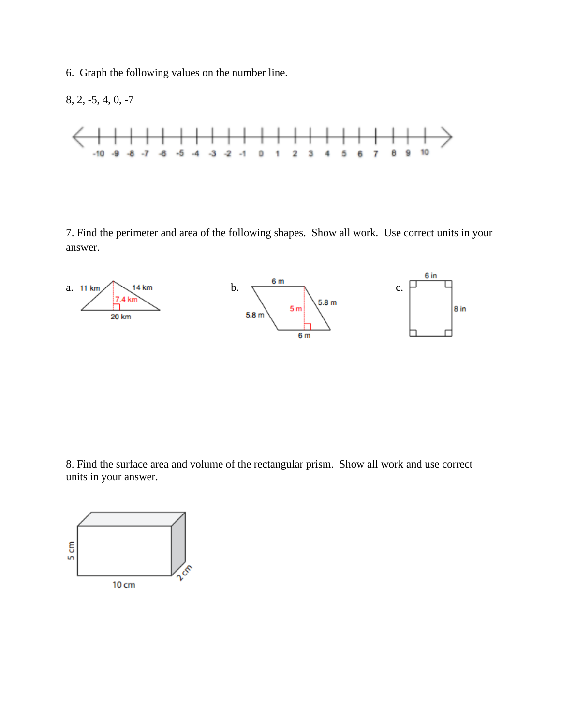6. Graph the following values on the number line.



7. Find the perimeter and area of the following shapes. Show all work. Use correct units in your answer.



8. Find the surface area and volume of the rectangular prism. Show all work and use correct units in your answer.

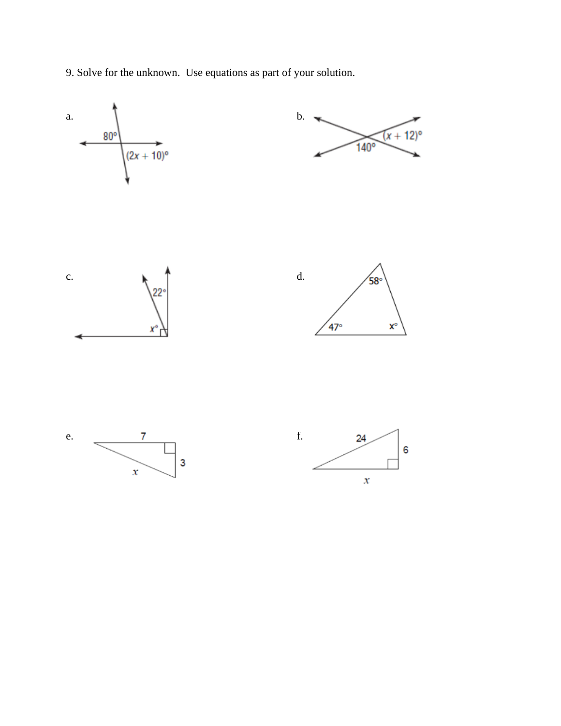9. Solve for the unknown. Use equations as part of your solution.

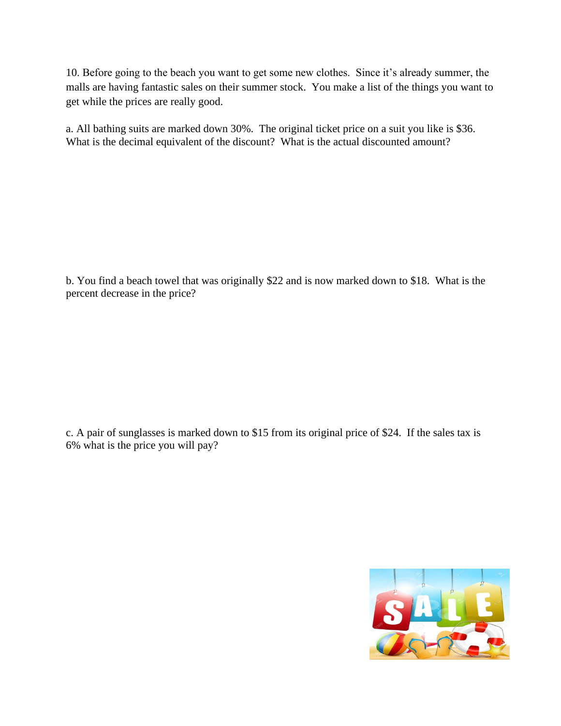10. Before going to the beach you want to get some new clothes. Since it's already summer, the malls are having fantastic sales on their summer stock. You make a list of the things you want to get while the prices are really good.

a. All bathing suits are marked down 30%. The original ticket price on a suit you like is \$36. What is the decimal equivalent of the discount? What is the actual discounted amount?

b. You find a beach towel that was originally \$22 and is now marked down to \$18. What is the percent decrease in the price?

c. A pair of sunglasses is marked down to \$15 from its original price of \$24. If the sales tax is 6% what is the price you will pay?

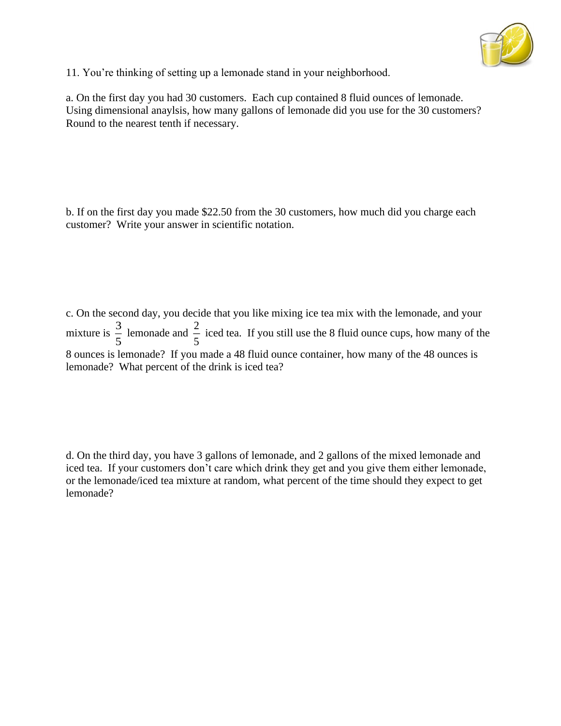

11. You're thinking of setting up a lemonade stand in your neighborhood.

a. On the first day you had 30 customers. Each cup contained 8 fluid ounces of lemonade. Using dimensional anaylsis, how many gallons of lemonade did you use for the 30 customers? Round to the nearest tenth if necessary.

b. If on the first day you made \$22.50 from the 30 customers, how much did you charge each customer? Write your answer in scientific notation.

c. On the second day, you decide that you like mixing ice tea mix with the lemonade, and your mixture is  $\frac{3}{5}$  $\frac{3}{5}$  lemonade and  $\frac{2}{5}$  $\frac{2}{5}$  iced tea. If you still use the 8 fluid ounce cups, how many of the 8 ounces is lemonade? If you made a 48 fluid ounce container, how many of the 48 ounces is lemonade? What percent of the drink is iced tea?

d. On the third day, you have 3 gallons of lemonade, and 2 gallons of the mixed lemonade and iced tea. If your customers don't care which drink they get and you give them either lemonade, or the lemonade/iced tea mixture at random, what percent of the time should they expect to get lemonade?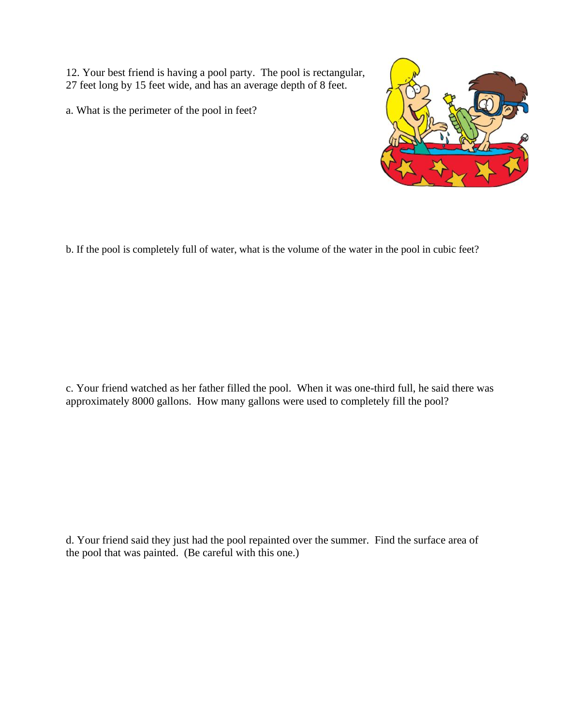12. Your best friend is having a pool party. The pool is rectangular, 27 feet long by 15 feet wide, and has an average depth of 8 feet.

a. What is the perimeter of the pool in feet?



b. If the pool is completely full of water, what is the volume of the water in the pool in cubic feet?

c. Your friend watched as her father filled the pool. When it was one-third full, he said there was approximately 8000 gallons. How many gallons were used to completely fill the pool?

d. Your friend said they just had the pool repainted over the summer. Find the surface area of the pool that was painted. (Be careful with this one.)